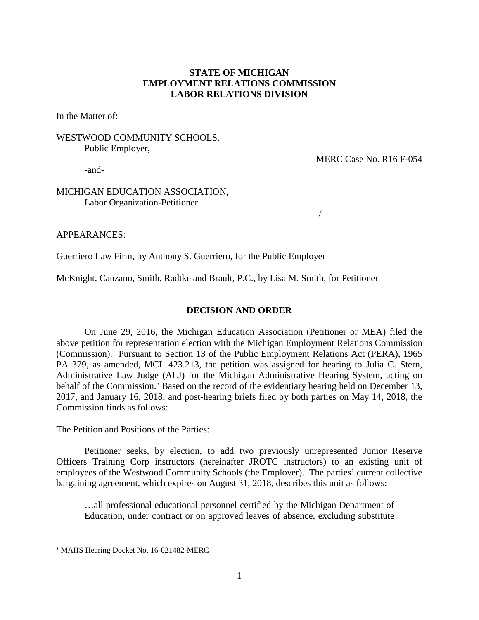# **STATE OF MICHIGAN EMPLOYMENT RELATIONS COMMISSION LABOR RELATIONS DIVISION**

In the Matter of:

# WESTWOOD COMMUNITY SCHOOLS, Public Employer,

MERC Case No. R16 F-054

-and-

### MICHIGAN EDUCATION ASSOCIATION, Labor Organization-Petitioner.

### APPEARANCES:

Guerriero Law Firm, by Anthony S. Guerriero, for the Public Employer

\_\_\_\_\_\_\_\_\_\_\_\_\_\_\_\_\_\_\_\_\_\_\_\_\_\_\_\_\_\_\_\_\_\_\_\_\_\_\_\_\_\_\_\_\_\_\_\_\_\_\_\_\_\_\_\_/

McKnight, Canzano, Smith, Radtke and Brault, P.C., by Lisa M. Smith, for Petitioner

### **DECISION AND ORDER**

On June 29, 2016, the Michigan Education Association (Petitioner or MEA) filed the above petition for representation election with the Michigan Employment Relations Commission (Commission). Pursuant to Section 13 of the Public Employment Relations Act (PERA), 1965 PA 379, as amended, MCL 423.213, the petition was assigned for hearing to Julia C. Stern, Administrative Law Judge (ALJ) for the Michigan Administrative Hearing System, acting on behalf of the Commission.*[1](#page-0-0)* Based on the record of the evidentiary hearing held on December 13, 2017, and January 16, 2018, and post-hearing briefs filed by both parties on May 14, 2018, the Commission finds as follows:

#### The Petition and Positions of the Parties:

Petitioner seeks, by election, to add two previously unrepresented Junior Reserve Officers Training Corp instructors (hereinafter JROTC instructors) to an existing unit of employees of the Westwood Community Schools (the Employer). The parties' current collective bargaining agreement, which expires on August 31, 2018, describes this unit as follows:

…all professional educational personnel certified by the Michigan Department of Education, under contract or on approved leaves of absence, excluding substitute

 $\overline{a}$ 

<span id="page-0-0"></span>*<sup>1</sup>* MAHS Hearing Docket No. 16-021482-MERC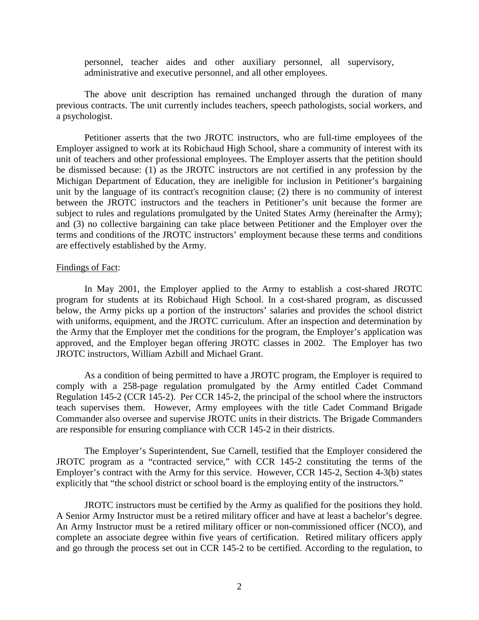personnel, teacher aides and other auxiliary personnel, all supervisory, administrative and executive personnel, and all other employees.

The above unit description has remained unchanged through the duration of many previous contracts. The unit currently includes teachers, speech pathologists, social workers, and a psychologist.

Petitioner asserts that the two JROTC instructors, who are full-time employees of the Employer assigned to work at its Robichaud High School, share a community of interest with its unit of teachers and other professional employees. The Employer asserts that the petition should be dismissed because: (1) as the JROTC instructors are not certified in any profession by the Michigan Department of Education, they are ineligible for inclusion in Petitioner's bargaining unit by the language of its contract's recognition clause; (2) there is no community of interest between the JROTC instructors and the teachers in Petitioner's unit because the former are subject to rules and regulations promulgated by the United States Army (hereinafter the Army); and (3) no collective bargaining can take place between Petitioner and the Employer over the terms and conditions of the JROTC instructors' employment because these terms and conditions are effectively established by the Army.

#### Findings of Fact:

In May 2001, the Employer applied to the Army to establish a cost-shared JROTC program for students at its Robichaud High School. In a cost-shared program, as discussed below, the Army picks up a portion of the instructors' salaries and provides the school district with uniforms, equipment, and the JROTC curriculum. After an inspection and determination by the Army that the Employer met the conditions for the program, the Employer's application was approved, and the Employer began offering JROTC classes in 2002. The Employer has two JROTC instructors, William Azbill and Michael Grant.

As a condition of being permitted to have a JROTC program, the Employer is required to comply with a 258-page regulation promulgated by the Army entitled Cadet Command Regulation 145-2 (CCR 145-2). Per CCR 145-2, the principal of the school where the instructors teach supervises them. However, Army employees with the title Cadet Command Brigade Commander also oversee and supervise JROTC units in their districts. The Brigade Commanders are responsible for ensuring compliance with CCR 145-2 in their districts.

The Employer's Superintendent, Sue Carnell, testified that the Employer considered the JROTC program as a "contracted service," with CCR 145-2 constituting the terms of the Employer's contract with the Army for this service. However, CCR 145-2, Section 4-3(b) states explicitly that "the school district or school board is the employing entity of the instructors."

JROTC instructors must be certified by the Army as qualified for the positions they hold. A Senior Army Instructor must be a retired military officer and have at least a bachelor's degree. An Army Instructor must be a retired military officer or non-commissioned officer (NCO), and complete an associate degree within five years of certification. Retired military officers apply and go through the process set out in CCR 145-2 to be certified. According to the regulation, to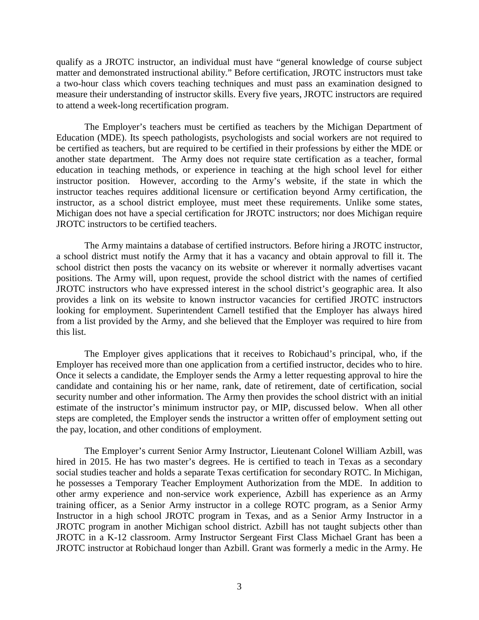qualify as a JROTC instructor, an individual must have "general knowledge of course subject matter and demonstrated instructional ability." Before certification, JROTC instructors must take a two-hour class which covers teaching techniques and must pass an examination designed to measure their understanding of instructor skills. Every five years, JROTC instructors are required to attend a week-long recertification program.

The Employer's teachers must be certified as teachers by the Michigan Department of Education (MDE). Its speech pathologists, psychologists and social workers are not required to be certified as teachers, but are required to be certified in their professions by either the MDE or another state department. The Army does not require state certification as a teacher, formal education in teaching methods, or experience in teaching at the high school level for either instructor position. However, according to the Army's website, if the state in which the instructor teaches requires additional licensure or certification beyond Army certification, the instructor, as a school district employee, must meet these requirements. Unlike some states, Michigan does not have a special certification for JROTC instructors; nor does Michigan require JROTC instructors to be certified teachers.

The Army maintains a database of certified instructors. Before hiring a JROTC instructor, a school district must notify the Army that it has a vacancy and obtain approval to fill it. The school district then posts the vacancy on its website or wherever it normally advertises vacant positions. The Army will, upon request, provide the school district with the names of certified JROTC instructors who have expressed interest in the school district's geographic area. It also provides a link on its website to known instructor vacancies for certified JROTC instructors looking for employment. Superintendent Carnell testified that the Employer has always hired from a list provided by the Army, and she believed that the Employer was required to hire from this list.

The Employer gives applications that it receives to Robichaud's principal, who, if the Employer has received more than one application from a certified instructor, decides who to hire. Once it selects a candidate, the Employer sends the Army a letter requesting approval to hire the candidate and containing his or her name, rank, date of retirement, date of certification, social security number and other information. The Army then provides the school district with an initial estimate of the instructor's minimum instructor pay, or MIP, discussed below. When all other steps are completed, the Employer sends the instructor a written offer of employment setting out the pay, location, and other conditions of employment.

The Employer's current Senior Army Instructor, Lieutenant Colonel William Azbill, was hired in 2015. He has two master's degrees. He is certified to teach in Texas as a secondary social studies teacher and holds a separate Texas certification for secondary ROTC. In Michigan, he possesses a Temporary Teacher Employment Authorization from the MDE. In addition to other army experience and non-service work experience, Azbill has experience as an Army training officer, as a Senior Army instructor in a college ROTC program, as a Senior Army Instructor in a high school JROTC program in Texas, and as a Senior Army Instructor in a JROTC program in another Michigan school district. Azbill has not taught subjects other than JROTC in a K-12 classroom. Army Instructor Sergeant First Class Michael Grant has been a JROTC instructor at Robichaud longer than Azbill. Grant was formerly a medic in the Army. He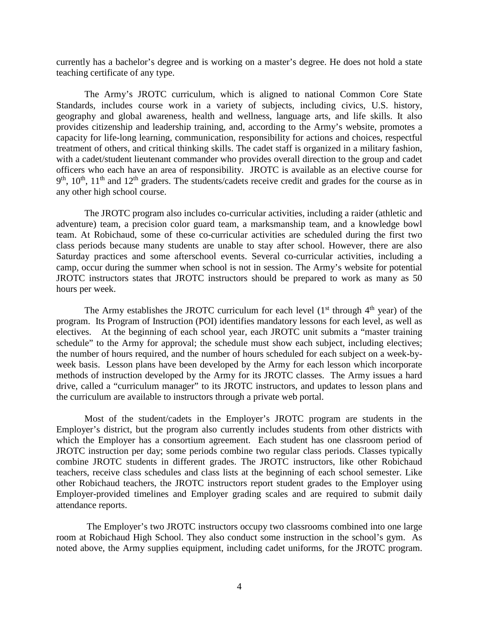currently has a bachelor's degree and is working on a master's degree. He does not hold a state teaching certificate of any type.

The Army's JROTC curriculum, which is aligned to national Common Core State Standards, includes course work in a variety of subjects, including civics, U.S. history, geography and global awareness, health and wellness, language arts, and life skills. It also provides citizenship and leadership training, and, according to the Army's website, promotes a capacity for life-long learning, communication, responsibility for actions and choices, respectful treatment of others, and critical thinking skills. The cadet staff is organized in a military fashion, with a cadet/student lieutenant commander who provides overall direction to the group and cadet officers who each have an area of responsibility. JROTC is available as an elective course for  $9<sup>th</sup>$ ,  $10<sup>th</sup>$ ,  $11<sup>th</sup>$  and  $12<sup>th</sup>$  graders. The students/cadets receive credit and grades for the course as in any other high school course.

The JROTC program also includes co-curricular activities, including a raider (athletic and adventure) team, a precision color guard team, a marksmanship team, and a knowledge bowl team. At Robichaud, some of these co-curricular activities are scheduled during the first two class periods because many students are unable to stay after school. However, there are also Saturday practices and some afterschool events. Several co-curricular activities, including a camp, occur during the summer when school is not in session. The Army's website for potential JROTC instructors states that JROTC instructors should be prepared to work as many as 50 hours per week.

The Army establishes the JROTC curriculum for each level  $(1<sup>st</sup>$  through  $4<sup>th</sup>$  year) of the program. Its Program of Instruction (POI) identifies mandatory lessons for each level, as well as electives. At the beginning of each school year, each JROTC unit submits a "master training schedule" to the Army for approval; the schedule must show each subject, including electives; the number of hours required, and the number of hours scheduled for each subject on a week-byweek basis. Lesson plans have been developed by the Army for each lesson which incorporate methods of instruction developed by the Army for its JROTC classes. The Army issues a hard drive, called a "curriculum manager" to its JROTC instructors, and updates to lesson plans and the curriculum are available to instructors through a private web portal.

Most of the student/cadets in the Employer's JROTC program are students in the Employer's district, but the program also currently includes students from other districts with which the Employer has a consortium agreement. Each student has one classroom period of JROTC instruction per day; some periods combine two regular class periods. Classes typically combine JROTC students in different grades. The JROTC instructors, like other Robichaud teachers, receive class schedules and class lists at the beginning of each school semester. Like other Robichaud teachers, the JROTC instructors report student grades to the Employer using Employer-provided timelines and Employer grading scales and are required to submit daily attendance reports.

The Employer's two JROTC instructors occupy two classrooms combined into one large room at Robichaud High School. They also conduct some instruction in the school's gym. As noted above, the Army supplies equipment, including cadet uniforms, for the JROTC program.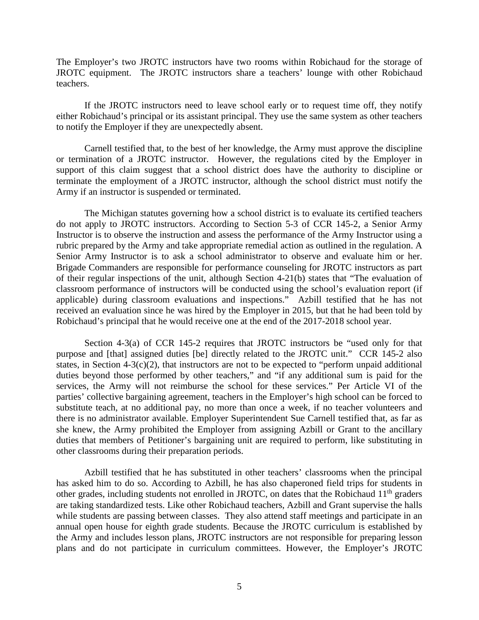The Employer's two JROTC instructors have two rooms within Robichaud for the storage of JROTC equipment. The JROTC instructors share a teachers' lounge with other Robichaud teachers.

If the JROTC instructors need to leave school early or to request time off, they notify either Robichaud's principal or its assistant principal. They use the same system as other teachers to notify the Employer if they are unexpectedly absent.

Carnell testified that, to the best of her knowledge, the Army must approve the discipline or termination of a JROTC instructor. However, the regulations cited by the Employer in support of this claim suggest that a school district does have the authority to discipline or terminate the employment of a JROTC instructor, although the school district must notify the Army if an instructor is suspended or terminated.

The Michigan statutes governing how a school district is to evaluate its certified teachers do not apply to JROTC instructors. According to Section 5-3 of CCR 145-2, a Senior Army Instructor is to observe the instruction and assess the performance of the Army Instructor using a rubric prepared by the Army and take appropriate remedial action as outlined in the regulation. A Senior Army Instructor is to ask a school administrator to observe and evaluate him or her. Brigade Commanders are responsible for performance counseling for JROTC instructors as part of their regular inspections of the unit, although Section 4-21(b) states that "The evaluation of classroom performance of instructors will be conducted using the school's evaluation report (if applicable) during classroom evaluations and inspections." Azbill testified that he has not received an evaluation since he was hired by the Employer in 2015, but that he had been told by Robichaud's principal that he would receive one at the end of the 2017-2018 school year.

Section 4-3(a) of CCR 145-2 requires that JROTC instructors be "used only for that purpose and [that] assigned duties [be] directly related to the JROTC unit." CCR 145-2 also states, in Section 4-3(c)(2), that instructors are not to be expected to "perform unpaid additional duties beyond those performed by other teachers," and "if any additional sum is paid for the services, the Army will not reimburse the school for these services." Per Article VI of the parties' collective bargaining agreement, teachers in the Employer's high school can be forced to substitute teach, at no additional pay, no more than once a week, if no teacher volunteers and there is no administrator available. Employer Superintendent Sue Carnell testified that, as far as she knew, the Army prohibited the Employer from assigning Azbill or Grant to the ancillary duties that members of Petitioner's bargaining unit are required to perform, like substituting in other classrooms during their preparation periods.

Azbill testified that he has substituted in other teachers' classrooms when the principal has asked him to do so. According to Azbill, he has also chaperoned field trips for students in other grades, including students not enrolled in JROTC, on dates that the Robichaud  $11<sup>th</sup>$  graders are taking standardized tests. Like other Robichaud teachers, Azbill and Grant supervise the halls while students are passing between classes. They also attend staff meetings and participate in an annual open house for eighth grade students. Because the JROTC curriculum is established by the Army and includes lesson plans, JROTC instructors are not responsible for preparing lesson plans and do not participate in curriculum committees. However, the Employer's JROTC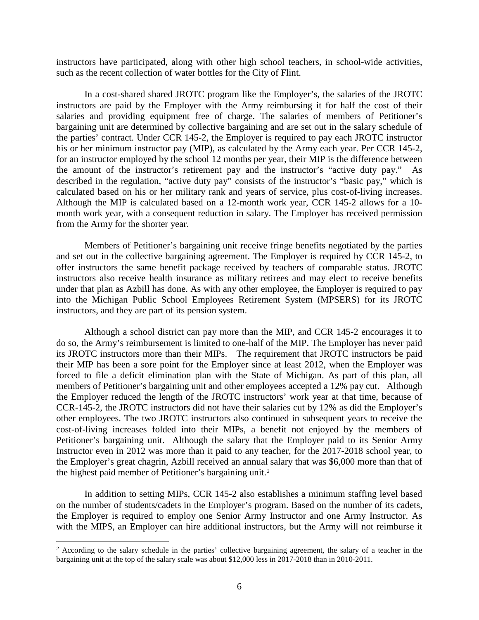instructors have participated, along with other high school teachers, in school-wide activities, such as the recent collection of water bottles for the City of Flint.

In a cost-shared shared JROTC program like the Employer's, the salaries of the JROTC instructors are paid by the Employer with the Army reimbursing it for half the cost of their salaries and providing equipment free of charge. The salaries of members of Petitioner's bargaining unit are determined by collective bargaining and are set out in the salary schedule of the parties' contract. Under CCR 145-2, the Employer is required to pay each JROTC instructor his or her minimum instructor pay (MIP), as calculated by the Army each year. Per CCR 145-2, for an instructor employed by the school 12 months per year, their MIP is the difference between the amount of the instructor's retirement pay and the instructor's "active duty pay." As described in the regulation, "active duty pay" consists of the instructor's "basic pay," which is calculated based on his or her military rank and years of service, plus cost-of-living increases. Although the MIP is calculated based on a 12-month work year, CCR 145-2 allows for a 10 month work year, with a consequent reduction in salary. The Employer has received permission from the Army for the shorter year.

Members of Petitioner's bargaining unit receive fringe benefits negotiated by the parties and set out in the collective bargaining agreement. The Employer is required by CCR 145-2, to offer instructors the same benefit package received by teachers of comparable status. JROTC instructors also receive health insurance as military retirees and may elect to receive benefits under that plan as Azbill has done. As with any other employee, the Employer is required to pay into the Michigan Public School Employees Retirement System (MPSERS) for its JROTC instructors, and they are part of its pension system.

Although a school district can pay more than the MIP, and CCR 145-2 encourages it to do so, the Army's reimbursement is limited to one-half of the MIP. The Employer has never paid its JROTC instructors more than their MIPs. The requirement that JROTC instructors be paid their MIP has been a sore point for the Employer since at least 2012, when the Employer was forced to file a deficit elimination plan with the State of Michigan. As part of this plan, all members of Petitioner's bargaining unit and other employees accepted a 12% pay cut. Although the Employer reduced the length of the JROTC instructors' work year at that time, because of CCR-145-2, the JROTC instructors did not have their salaries cut by 12% as did the Employer's other employees. The two JROTC instructors also continued in subsequent years to receive the cost-of-living increases folded into their MIPs, a benefit not enjoyed by the members of Petitioner's bargaining unit. Although the salary that the Employer paid to its Senior Army Instructor even in 2012 was more than it paid to any teacher, for the 2017-2018 school year, to the Employer's great chagrin, Azbill received an annual salary that was \$6,000 more than that of the highest paid member of Petitioner's bargaining unit.*[2](#page-5-0)*

In addition to setting MIPs, CCR 145-2 also establishes a minimum staffing level based on the number of students/cadets in the Employer's program. Based on the number of its cadets, the Employer is required to employ one Senior Army Instructor and one Army Instructor. As with the MIPS, an Employer can hire additional instructors, but the Army will not reimburse it

 $\overline{a}$ 

<span id="page-5-0"></span><sup>&</sup>lt;sup>2</sup> According to the salary schedule in the parties' collective bargaining agreement, the salary of a teacher in the bargaining unit at the top of the salary scale was about \$12,000 less in 2017-2018 than in 2010-2011.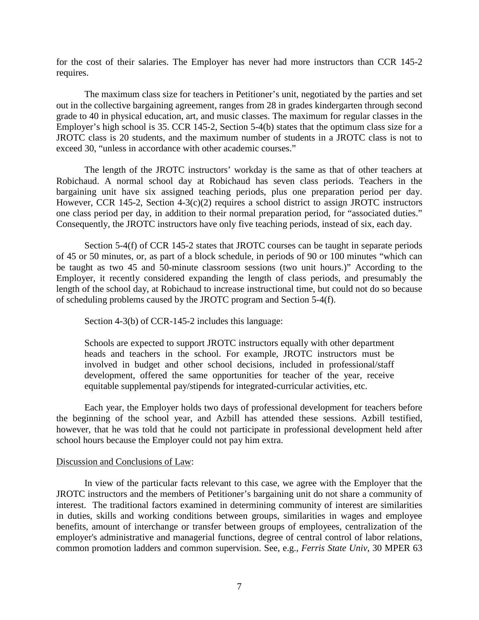for the cost of their salaries. The Employer has never had more instructors than CCR 145-2 requires.

The maximum class size for teachers in Petitioner's unit, negotiated by the parties and set out in the collective bargaining agreement, ranges from 28 in grades kindergarten through second grade to 40 in physical education, art, and music classes. The maximum for regular classes in the Employer's high school is 35. CCR 145-2, Section 5-4(b) states that the optimum class size for a JROTC class is 20 students, and the maximum number of students in a JROTC class is not to exceed 30, "unless in accordance with other academic courses."

The length of the JROTC instructors' workday is the same as that of other teachers at Robichaud. A normal school day at Robichaud has seven class periods. Teachers in the bargaining unit have six assigned teaching periods, plus one preparation period per day. However, CCR 145-2, Section 4-3(c)(2) requires a school district to assign JROTC instructors one class period per day, in addition to their normal preparation period, for "associated duties." Consequently, the JROTC instructors have only five teaching periods, instead of six, each day.

Section 5-4(f) of CCR 145-2 states that JROTC courses can be taught in separate periods of 45 or 50 minutes, or, as part of a block schedule, in periods of 90 or 100 minutes "which can be taught as two 45 and 50-minute classroom sessions (two unit hours.)" According to the Employer, it recently considered expanding the length of class periods, and presumably the length of the school day, at Robichaud to increase instructional time, but could not do so because of scheduling problems caused by the JROTC program and Section 5-4(f).

Section 4-3(b) of CCR-145-2 includes this language:

Schools are expected to support JROTC instructors equally with other department heads and teachers in the school. For example, JROTC instructors must be involved in budget and other school decisions, included in professional/staff development, offered the same opportunities for teacher of the year, receive equitable supplemental pay/stipends for integrated-curricular activities, etc.

Each year, the Employer holds two days of professional development for teachers before the beginning of the school year, and Azbill has attended these sessions. Azbill testified, however, that he was told that he could not participate in professional development held after school hours because the Employer could not pay him extra.

#### Discussion and Conclusions of Law:

In view of the particular facts relevant to this case, we agree with the Employer that the JROTC instructors and the members of Petitioner's bargaining unit do not share a community of interest. The traditional factors examined in determining community of interest are similarities in duties, skills and working conditions between groups, similarities in wages and employee benefits, amount of interchange or transfer between groups of employees, centralization of the employer's administrative and managerial functions, degree of central control of labor relations, common promotion ladders and common supervision. See, e.g., *Ferris State Univ*, 30 MPER 63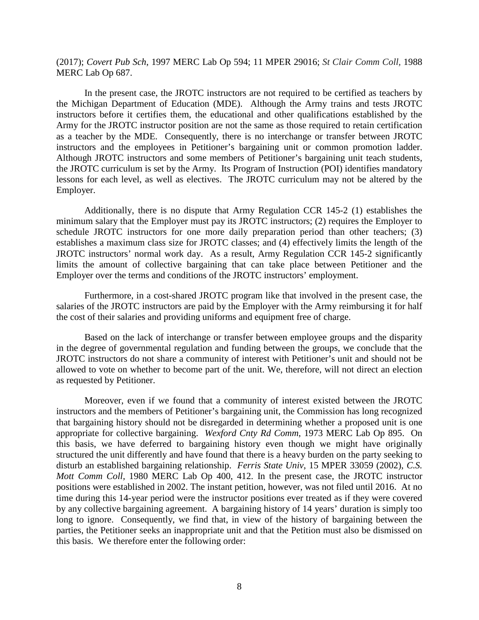(2017); *Covert Pub Sch*, 1997 MERC Lab Op 594; 11 MPER 29016; *St Clair Comm Coll,* 1988 MERC Lab Op 687.

In the present case, the JROTC instructors are not required to be certified as teachers by the Michigan Department of Education (MDE). Although the Army trains and tests JROTC instructors before it certifies them, the educational and other qualifications established by the Army for the JROTC instructor position are not the same as those required to retain certification as a teacher by the MDE. Consequently, there is no interchange or transfer between JROTC instructors and the employees in Petitioner's bargaining unit or common promotion ladder. Although JROTC instructors and some members of Petitioner's bargaining unit teach students, the JROTC curriculum is set by the Army. Its Program of Instruction (POI) identifies mandatory lessons for each level, as well as electives. The JROTC curriculum may not be altered by the Employer.

Additionally, there is no dispute that Army Regulation CCR 145-2 (1) establishes the minimum salary that the Employer must pay its JROTC instructors; (2) requires the Employer to schedule JROTC instructors for one more daily preparation period than other teachers; (3) establishes a maximum class size for JROTC classes; and (4) effectively limits the length of the JROTC instructors' normal work day. As a result, Army Regulation CCR 145-2 significantly limits the amount of collective bargaining that can take place between Petitioner and the Employer over the terms and conditions of the JROTC instructors' employment.

Furthermore, in a cost-shared JROTC program like that involved in the present case, the salaries of the JROTC instructors are paid by the Employer with the Army reimbursing it for half the cost of their salaries and providing uniforms and equipment free of charge.

Based on the lack of interchange or transfer between employee groups and the disparity in the degree of governmental regulation and funding between the groups, we conclude that the JROTC instructors do not share a community of interest with Petitioner's unit and should not be allowed to vote on whether to become part of the unit. We, therefore, will not direct an election as requested by Petitioner.

Moreover, even if we found that a community of interest existed between the JROTC instructors and the members of Petitioner's bargaining unit, the Commission has long recognized that bargaining history should not be disregarded in determining whether a proposed unit is one appropriate for collective bargaining. *Wexford Cnty Rd Comm*, 1973 MERC Lab Op 895. On this basis, we have deferred to bargaining history even though we might have originally structured the unit differently and have found that there is a heavy burden on the party seeking to disturb an established bargaining relationship. *Ferris State Univ*, 15 MPER 33059 (2002), *C.S. Mott Comm Coll,* 1980 MERC Lab Op 400, 412. In the present case, the JROTC instructor positions were established in 2002. The instant petition, however, was not filed until 2016. At no time during this 14-year period were the instructor positions ever treated as if they were covered by any collective bargaining agreement. A bargaining history of 14 years' duration is simply too long to ignore. Consequently, we find that, in view of the history of bargaining between the parties, the Petitioner seeks an inappropriate unit and that the Petition must also be dismissed on this basis. We therefore enter the following order: